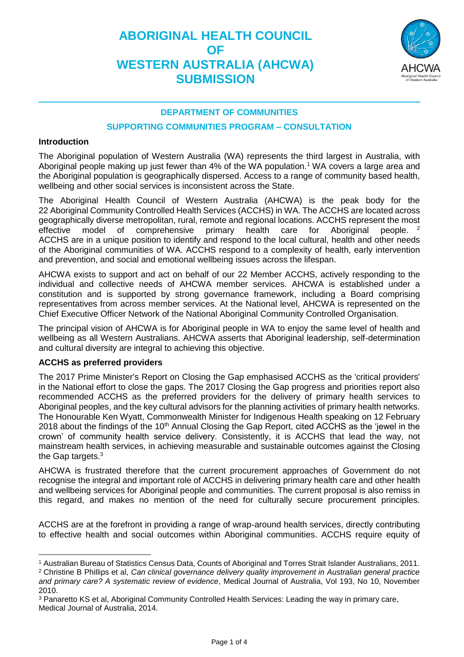

### **DEPARTMENT OF COMMUNITIES**

#### **SUPPORTING COMMUNITIES PROGRAM – CONSULTATION**

### **Introduction**

The Aboriginal population of Western Australia (WA) represents the third largest in Australia, with Aboriginal people making up just fewer than 4% of the WA population.<sup>1</sup> WA covers a large area and the Aboriginal population is geographically dispersed. Access to a range of community based health, wellbeing and other social services is inconsistent across the State.

The Aboriginal Health Council of Western Australia (AHCWA) is the peak body for the 22 Aboriginal Community Controlled Health Services (ACCHS) in WA. The ACCHS are located across geographically diverse metropolitan, rural, remote and regional locations. ACCHS represent the most effective model of comprehensive primary health care for Aboriginal people. <sup>2</sup> ACCHS are in a unique position to identify and respond to the local cultural, health and other needs of the Aboriginal communities of WA. ACCHS respond to a complexity of health, early intervention and prevention, and social and emotional wellbeing issues across the lifespan.

AHCWA exists to support and act on behalf of our 22 Member ACCHS, actively responding to the individual and collective needs of AHCWA member services. AHCWA is established under a constitution and is supported by strong governance framework, including a Board comprising representatives from across member services. At the National level, AHCWA is represented on the Chief Executive Officer Network of the National Aboriginal Community Controlled Organisation.

The principal vision of AHCWA is for Aboriginal people in WA to enjoy the same level of health and wellbeing as all Western Australians. AHCWA asserts that Aboriginal leadership, self-determination and cultural diversity are integral to achieving this objective.

## **ACCHS as preferred providers**

The 2017 Prime Minister's Report on Closing the Gap emphasised ACCHS as the 'critical providers' in the National effort to close the gaps. The 2017 Closing the Gap progress and priorities report also recommended ACCHS as the preferred providers for the delivery of primary health services to Aboriginal peoples, and the key cultural advisors for the planning activities of primary health networks. The Honourable Ken Wyatt, Commonwealth Minister for Indigenous Health speaking on 12 February 2018 about the findings of the 10<sup>th</sup> Annual Closing the Gap Report, cited ACCHS as the 'jewel in the crown' of community health service delivery. Consistently, it is ACCHS that lead the way, not mainstream health services, in achieving measurable and sustainable outcomes against the Closing the Gap targets.<sup>3</sup>

AHCWA is frustrated therefore that the current procurement approaches of Government do not recognise the integral and important role of ACCHS in delivering primary health care and other health and wellbeing services for Aboriginal people and communities. The current proposal is also remiss in this regard, and makes no mention of the need for culturally secure procurement principles.

ACCHS are at the forefront in providing a range of wrap-around health services, directly contributing to effective health and social outcomes within Aboriginal communities. ACCHS require equity of

 $\overline{a}$ <sup>1</sup> Australian Bureau of Statistics Census Data, Counts of Aboriginal and Torres Strait Islander Australians, 2011.

<sup>2</sup> Christine B Phillips et al, *Can clinical governance delivery quality improvement in Australian general practice and primary care? A systematic review of evidence*, Medical Journal of Australia, Vol 193, No 10, November 2010.

<sup>3</sup> Panaretto KS et al, Aboriginal Community Controlled Health Services: Leading the way in primary care, Medical Journal of Australia, 2014.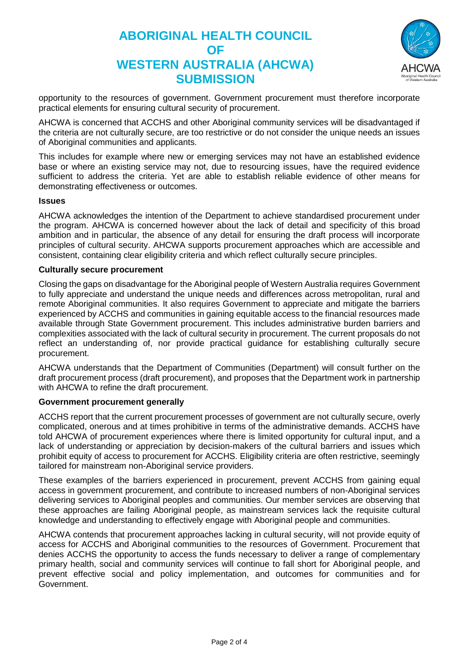

opportunity to the resources of government. Government procurement must therefore incorporate practical elements for ensuring cultural security of procurement.

AHCWA is concerned that ACCHS and other Aboriginal community services will be disadvantaged if the criteria are not culturally secure, are too restrictive or do not consider the unique needs an issues of Aboriginal communities and applicants.

This includes for example where new or emerging services may not have an established evidence base or where an existing service may not, due to resourcing issues, have the required evidence sufficient to address the criteria. Yet are able to establish reliable evidence of other means for demonstrating effectiveness or outcomes.

### **Issues**

AHCWA acknowledges the intention of the Department to achieve standardised procurement under the program. AHCWA is concerned however about the lack of detail and specificity of this broad ambition and in particular, the absence of any detail for ensuring the draft process will incorporate principles of cultural security. AHCWA supports procurement approaches which are accessible and consistent, containing clear eligibility criteria and which reflect culturally secure principles.

### **Culturally secure procurement**

Closing the gaps on disadvantage for the Aboriginal people of Western Australia requires Government to fully appreciate and understand the unique needs and differences across metropolitan, rural and remote Aboriginal communities. It also requires Government to appreciate and mitigate the barriers experienced by ACCHS and communities in gaining equitable access to the financial resources made available through State Government procurement. This includes administrative burden barriers and complexities associated with the lack of cultural security in procurement. The current proposals do not reflect an understanding of, nor provide practical guidance for establishing culturally secure procurement.

AHCWA understands that the Department of Communities (Department) will consult further on the draft procurement process (draft procurement), and proposes that the Department work in partnership with AHCWA to refine the draft procurement.

## **Government procurement generally**

ACCHS report that the current procurement processes of government are not culturally secure, overly complicated, onerous and at times prohibitive in terms of the administrative demands. ACCHS have told AHCWA of procurement experiences where there is limited opportunity for cultural input, and a lack of understanding or appreciation by decision-makers of the cultural barriers and issues which prohibit equity of access to procurement for ACCHS. Eligibility criteria are often restrictive, seemingly tailored for mainstream non-Aboriginal service providers.

These examples of the barriers experienced in procurement, prevent ACCHS from gaining equal access in government procurement, and contribute to increased numbers of non-Aboriginal services delivering services to Aboriginal peoples and communities. Our member services are observing that these approaches are failing Aboriginal people, as mainstream services lack the requisite cultural knowledge and understanding to effectively engage with Aboriginal people and communities.

AHCWA contends that procurement approaches lacking in cultural security, will not provide equity of access for ACCHS and Aboriginal communities to the resources of Government. Procurement that denies ACCHS the opportunity to access the funds necessary to deliver a range of complementary primary health, social and community services will continue to fall short for Aboriginal people, and prevent effective social and policy implementation, and outcomes for communities and for Government.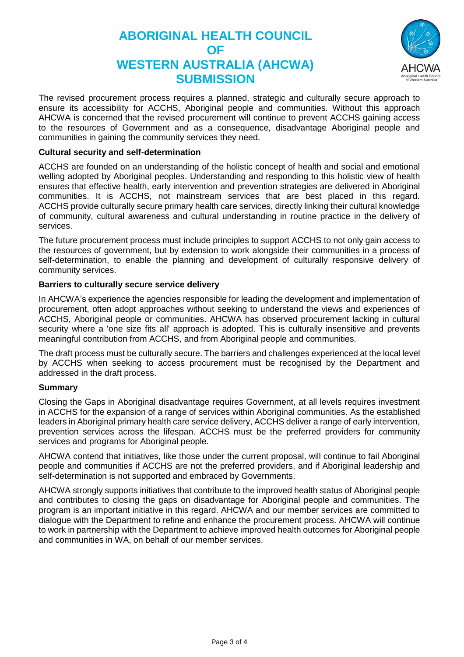

The revised procurement process requires a planned, strategic and culturally secure approach to ensure its accessibility for ACCHS, Aboriginal people and communities. Without this approach AHCWA is concerned that the revised procurement will continue to prevent ACCHS gaining access to the resources of Government and as a consequence, disadvantage Aboriginal people and communities in gaining the community services they need.

## **Cultural security and self-determination**

ACCHS are founded on an understanding of the holistic concept of health and social and emotional welling adopted by Aboriginal peoples. Understanding and responding to this holistic view of health ensures that effective health, early intervention and prevention strategies are delivered in Aboriginal communities. It is ACCHS, not mainstream services that are best placed in this regard. ACCHS provide culturally secure primary health care services, directly linking their cultural knowledge of community, cultural awareness and cultural understanding in routine practice in the delivery of services.

The future procurement process must include principles to support ACCHS to not only gain access to the resources of government, but by extension to work alongside their communities in a process of self-determination, to enable the planning and development of culturally responsive delivery of community services.

### **Barriers to culturally secure service delivery**

In AHCWA's experience the agencies responsible for leading the development and implementation of procurement, often adopt approaches without seeking to understand the views and experiences of ACCHS, Aboriginal people or communities. AHCWA has observed procurement lacking in cultural security where a 'one size fits all' approach is adopted. This is culturally insensitive and prevents meaningful contribution from ACCHS, and from Aboriginal people and communities.

The draft process must be culturally secure. The barriers and challenges experienced at the local level by ACCHS when seeking to access procurement must be recognised by the Department and addressed in the draft process.

#### **Summary**

Closing the Gaps in Aboriginal disadvantage requires Government, at all levels requires investment in ACCHS for the expansion of a range of services within Aboriginal communities. As the established leaders in Aboriginal primary health care service delivery, ACCHS deliver a range of early intervention, prevention services across the lifespan. ACCHS must be the preferred providers for community services and programs for Aboriginal people.

AHCWA contend that initiatives, like those under the current proposal, will continue to fail Aboriginal people and communities if ACCHS are not the preferred providers, and if Aboriginal leadership and self-determination is not supported and embraced by Governments.

AHCWA strongly supports initiatives that contribute to the improved health status of Aboriginal people and contributes to closing the gaps on disadvantage for Aboriginal people and communities. The program is an important initiative in this regard. AHCWA and our member services are committed to dialogue with the Department to refine and enhance the procurement process. AHCWA will continue to work in partnership with the Department to achieve improved health outcomes for Aboriginal people and communities in WA, on behalf of our member services.